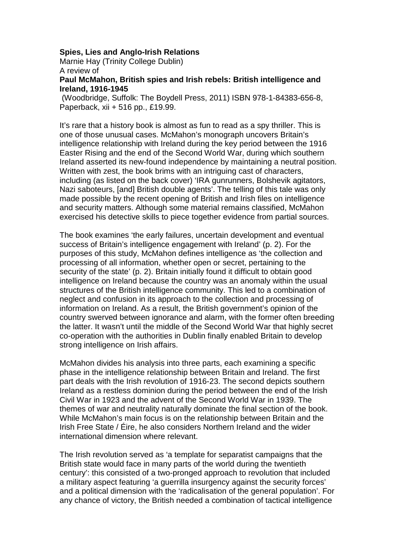## **Spies, Lies and Anglo-Irish Relations**

Marnie Hay (Trinity College Dublin) A review of

**Paul McMahon, British spies and Irish rebels: British intelligence and Ireland, 1916-1945**

(Woodbridge, Suffolk: The Boydell Press, 2011) ISBN 978-1-84383-656-8, Paperback, xii + 516 pp., £19.99.

It's rare that a history book is almost as fun to read as a spy thriller. This is one of those unusual cases. McMahon's monograph uncovers Britain's intelligence relationship with Ireland during the key period between the 1916 Easter Rising and the end of the Second World War, during which southern Ireland asserted its new-found independence by maintaining a neutral position. Written with zest, the book brims with an intriguing cast of characters, including (as listed on the back cover) 'IRA gunrunners, Bolshevik agitators, Nazi saboteurs, [and] British double agents'. The telling of this tale was only made possible by the recent opening of British and Irish files on intelligence and security matters. Although some material remains classified, McMahon exercised his detective skills to piece together evidence from partial sources.

The book examines 'the early failures, uncertain development and eventual success of Britain's intelligence engagement with Ireland' (p. 2). For the purposes of this study, McMahon defines intelligence as 'the collection and processing of all information, whether open or secret, pertaining to the security of the state' (p. 2). Britain initially found it difficult to obtain good intelligence on Ireland because the country was an anomaly within the usual structures of the British intelligence community. This led to a combination of neglect and confusion in its approach to the collection and processing of information on Ireland. As a result, the British government's opinion of the country swerved between ignorance and alarm, with the former often breeding the latter. It wasn't until the middle of the Second World War that highly secret co-operation with the authorities in Dublin finally enabled Britain to develop strong intelligence on Irish affairs.

McMahon divides his analysis into three parts, each examining a specific phase in the intelligence relationship between Britain and Ireland. The first part deals with the Irish revolution of 1916-23. The second depicts southern Ireland as a restless dominion during the period between the end of the Irish Civil War in 1923 and the advent of the Second World War in 1939. The themes of war and neutrality naturally dominate the final section of the book. While McMahon's main focus is on the relationship between Britain and the Irish Free State / Éire, he also considers Northern Ireland and the wider international dimension where relevant.

The Irish revolution served as 'a template for separatist campaigns that the British state would face in many parts of the world during the twentieth century': this consisted of a two-pronged approach to revolution that included a military aspect featuring 'a guerrilla insurgency against the security forces' and a political dimension with the 'radicalisation of the general population'. For any chance of victory, the British needed a combination of tactical intelligence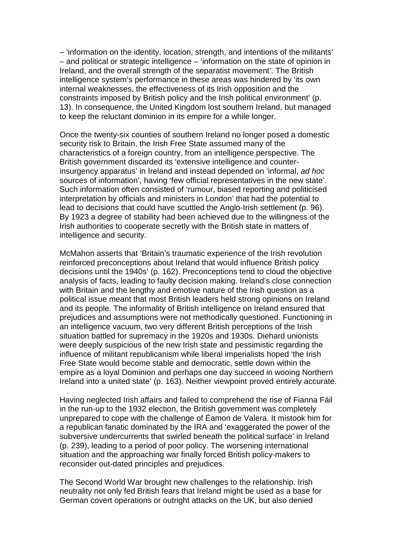– 'information on the identity, location, strength, and intentions of the militants' – and political or strategic intelligence – 'information on the state of opinion in Ireland, and the overall strength of the separatist movement'. The British intelligence system's performance in these areas was hindered by 'its own internal weaknesses, the effectiveness of its Irish opposition and the constraints imposed by British policy and the Irish political environment' (p. 13). In consequence, the United Kingdom lost southern Ireland, but managed to keep the reluctant dominion in its empire for a while longer.

Once the twenty-six counties of southern Ireland no longer posed a domestic security risk to Britain, the Irish Free State assumed many of the characteristics of a foreign country, from an intelligence perspective. The British government discarded its 'extensive intelligence and counterinsurgency apparatus' in Ireland and instead depended on 'informal, ad hoc sources of information', having 'few official representatives in the new state'. Such information often consisted of 'rumour, biased reporting and politicised interpretation by officials and ministers in London' that had the potential to lead to decisions that could have scuttled the Anglo-Irish settlement (p. 96). By 1923 a degree of stability had been achieved due to the willingness of the Irish authorities to cooperate secretly with the British state in matters of intelligence and security.

McMahon asserts that 'Britain's traumatic experience of the Irish revolution reinforced preconceptions about Ireland that would influence British policy decisions until the 1940s' (p. 162). Preconceptions tend to cloud the objective analysis of facts, leading to faulty decision making. Ireland's close connection with Britain and the lengthy and emotive nature of the Irish question as a political issue meant that most British leaders held strong opinions on Ireland and its people. The informality of British intelligence on Ireland ensured that prejudices and assumptions were not methodically questioned. Functioning in an intelligence vacuum, two very different British perceptions of the Irish situation battled for supremacy in the 1920s and 1930s. Diehard unionists were deeply suspicious of the new Irish state and pessimistic regarding the influence of militant republicanism while liberal imperialists hoped 'the Irish Free State would become stable and democratic, settle down within the empire as a loyal Dominion and perhaps one day succeed in wooing Northern Ireland into a united state' (p. 163). Neither viewpoint proved entirely accurate.

Having neglected Irish affairs and failed to comprehend the rise of Fianna Fáil in the run-up to the 1932 election, the British government was completely unprepared to cope with the challenge of Éamon de Valera. It mistook him for a republican fanatic dominated by the IRA and 'exaggerated the power of the subversive undercurrents that swirled beneath the political surface' in Ireland (p. 239), leading to a period of poor policy. The worsening international situation and the approaching war finally forced British policy-makers to reconsider out-dated principles and prejudices.

The Second World War brought new challenges to the relationship. Irish neutrality not only fed British fears that Ireland might be used as a base for German covert operations or outright attacks on the UK, but also denied